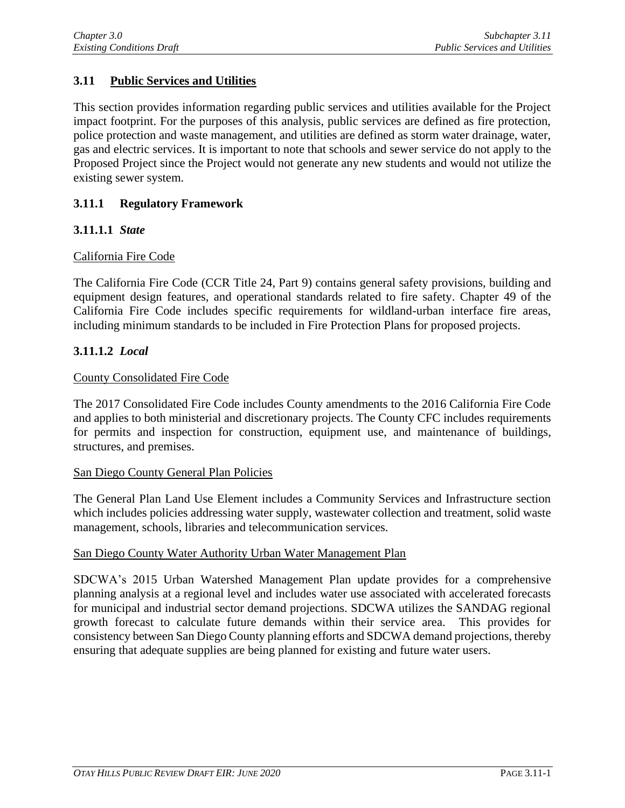# **3.11 Public Services and Utilities**

This section provides information regarding public services and utilities available for the Project impact footprint. For the purposes of this analysis, public services are defined as fire protection, police protection and waste management, and utilities are defined as storm water drainage, water, gas and electric services. It is important to note that schools and sewer service do not apply to the Proposed Project since the Project would not generate any new students and would not utilize the existing sewer system.

### **3.11.1 Regulatory Framework**

### **3.11.1.1** *State*

### California Fire Code

The California Fire Code (CCR Title 24, Part 9) contains general safety provisions, building and equipment design features, and operational standards related to fire safety. Chapter 49 of the California Fire Code includes specific requirements for wildland-urban interface fire areas, including minimum standards to be included in Fire Protection Plans for proposed projects.

### **3.11.1.2** *Local*

#### County Consolidated Fire Code

The 2017 Consolidated Fire Code includes County amendments to the 2016 California Fire Code and applies to both ministerial and discretionary projects. The County CFC includes requirements for permits and inspection for construction, equipment use, and maintenance of buildings, structures, and premises.

#### San Diego County General Plan Policies

The General Plan Land Use Element includes a Community Services and Infrastructure section which includes policies addressing water supply, wastewater collection and treatment, solid waste management, schools, libraries and telecommunication services.

### San Diego County Water Authority Urban Water Management Plan

SDCWA's 2015 Urban Watershed Management Plan update provides for a comprehensive planning analysis at a regional level and includes water use associated with accelerated forecasts for municipal and industrial sector demand projections. SDCWA utilizes the SANDAG regional growth forecast to calculate future demands within their service area. This provides for consistency between San Diego County planning efforts and SDCWA demand projections, thereby ensuring that adequate supplies are being planned for existing and future water users.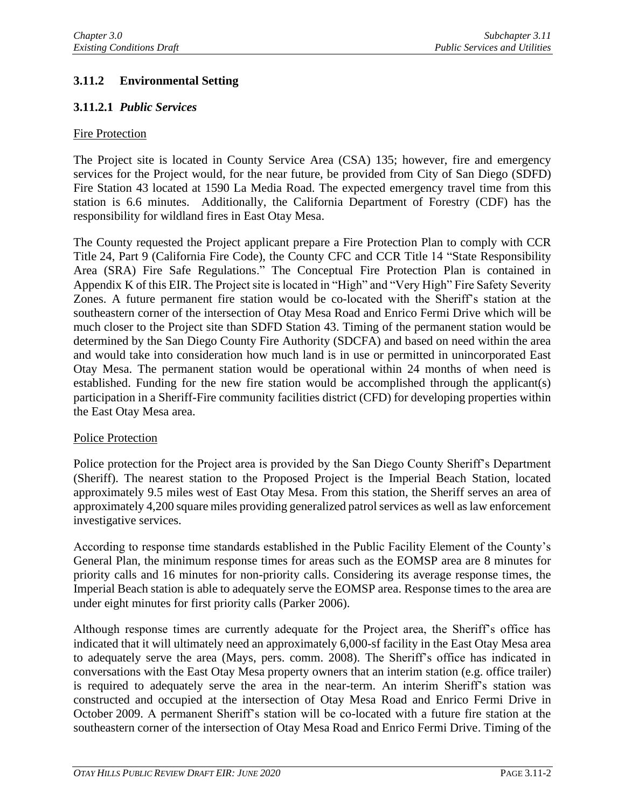# **3.11.2 Environmental Setting**

## **3.11.2.1** *Public Services*

### Fire Protection

The Project site is located in County Service Area (CSA) 135; however, fire and emergency services for the Project would, for the near future, be provided from City of San Diego (SDFD) Fire Station 43 located at 1590 La Media Road. The expected emergency travel time from this station is 6.6 minutes. Additionally, the California Department of Forestry (CDF) has the responsibility for wildland fires in East Otay Mesa.

The County requested the Project applicant prepare a Fire Protection Plan to comply with CCR Title 24, Part 9 (California Fire Code), the County CFC and CCR Title 14 "State Responsibility Area (SRA) Fire Safe Regulations." The Conceptual Fire Protection Plan is contained in Appendix K of this EIR. The Project site is located in "High" and "Very High" Fire Safety Severity Zones. A future permanent fire station would be co-located with the Sheriff's station at the southeastern corner of the intersection of Otay Mesa Road and Enrico Fermi Drive which will be much closer to the Project site than SDFD Station 43. Timing of the permanent station would be determined by the San Diego County Fire Authority (SDCFA) and based on need within the area and would take into consideration how much land is in use or permitted in unincorporated East Otay Mesa. The permanent station would be operational within 24 months of when need is established. Funding for the new fire station would be accomplished through the applicant(s) participation in a Sheriff-Fire community facilities district (CFD) for developing properties within the East Otay Mesa area.

### Police Protection

Police protection for the Project area is provided by the San Diego County Sheriff's Department (Sheriff). The nearest station to the Proposed Project is the Imperial Beach Station, located approximately 9.5 miles west of East Otay Mesa. From this station, the Sheriff serves an area of approximately 4,200 square miles providing generalized patrol services as well as law enforcement investigative services.

According to response time standards established in the Public Facility Element of the County's General Plan, the minimum response times for areas such as the EOMSP area are 8 minutes for priority calls and 16 minutes for non-priority calls. Considering its average response times, the Imperial Beach station is able to adequately serve the EOMSP area. Response times to the area are under eight minutes for first priority calls (Parker 2006).

Although response times are currently adequate for the Project area, the Sheriff's office has indicated that it will ultimately need an approximately 6,000-sf facility in the East Otay Mesa area to adequately serve the area (Mays, pers. comm. 2008). The Sheriff's office has indicated in conversations with the East Otay Mesa property owners that an interim station (e.g. office trailer) is required to adequately serve the area in the near-term. An interim Sheriff's station was constructed and occupied at the intersection of Otay Mesa Road and Enrico Fermi Drive in October 2009. A permanent Sheriff's station will be co-located with a future fire station at the southeastern corner of the intersection of Otay Mesa Road and Enrico Fermi Drive. Timing of the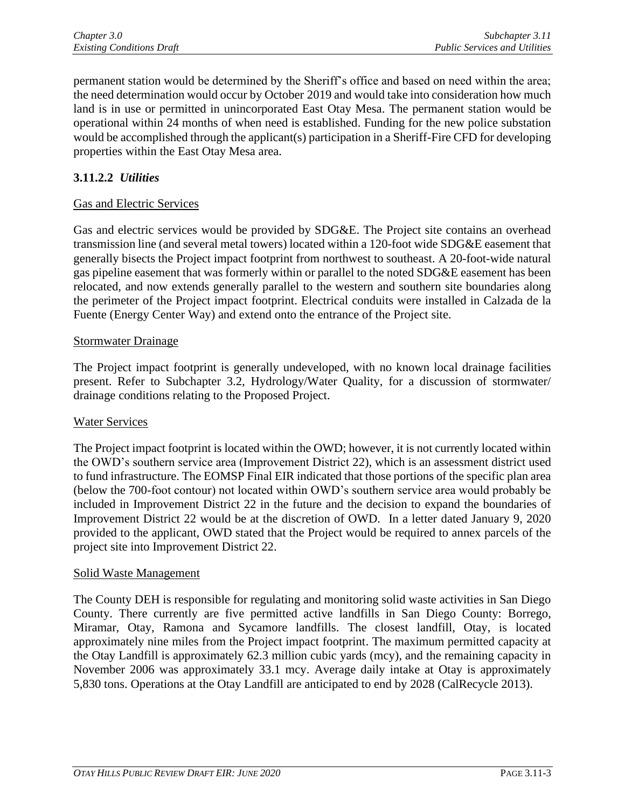permanent station would be determined by the Sheriff's office and based on need within the area; the need determination would occur by October 2019 and would take into consideration how much land is in use or permitted in unincorporated East Otay Mesa. The permanent station would be operational within 24 months of when need is established. Funding for the new police substation would be accomplished through the applicant(s) participation in a Sheriff-Fire CFD for developing properties within the East Otay Mesa area.

# **3.11.2.2** *Utilities*

### Gas and Electric Services

Gas and electric services would be provided by SDG&E. The Project site contains an overhead transmission line (and several metal towers) located within a 120-foot wide SDG&E easement that generally bisects the Project impact footprint from northwest to southeast. A 20-foot-wide natural gas pipeline easement that was formerly within or parallel to the noted SDG&E easement has been relocated, and now extends generally parallel to the western and southern site boundaries along the perimeter of the Project impact footprint. Electrical conduits were installed in Calzada de la Fuente (Energy Center Way) and extend onto the entrance of the Project site.

### Stormwater Drainage

The Project impact footprint is generally undeveloped, with no known local drainage facilities present. Refer to Subchapter 3.2, Hydrology/Water Quality, for a discussion of stormwater/ drainage conditions relating to the Proposed Project.

### Water Services

The Project impact footprint is located within the OWD; however, it is not currently located within the OWD's southern service area (Improvement District 22), which is an assessment district used to fund infrastructure. The EOMSP Final EIR indicated that those portions of the specific plan area (below the 700-foot contour) not located within OWD's southern service area would probably be included in Improvement District 22 in the future and the decision to expand the boundaries of Improvement District 22 would be at the discretion of OWD. In a letter dated January 9, 2020 provided to the applicant, OWD stated that the Project would be required to annex parcels of the project site into Improvement District 22.

### Solid Waste Management

The County DEH is responsible for regulating and monitoring solid waste activities in San Diego County. There currently are five permitted active landfills in San Diego County: Borrego, Miramar, Otay, Ramona and Sycamore landfills. The closest landfill, Otay, is located approximately nine miles from the Project impact footprint. The maximum permitted capacity at the Otay Landfill is approximately 62.3 million cubic yards (mcy), and the remaining capacity in November 2006 was approximately 33.1 mcy. Average daily intake at Otay is approximately 5,830 tons. Operations at the Otay Landfill are anticipated to end by 2028 (CalRecycle 2013).